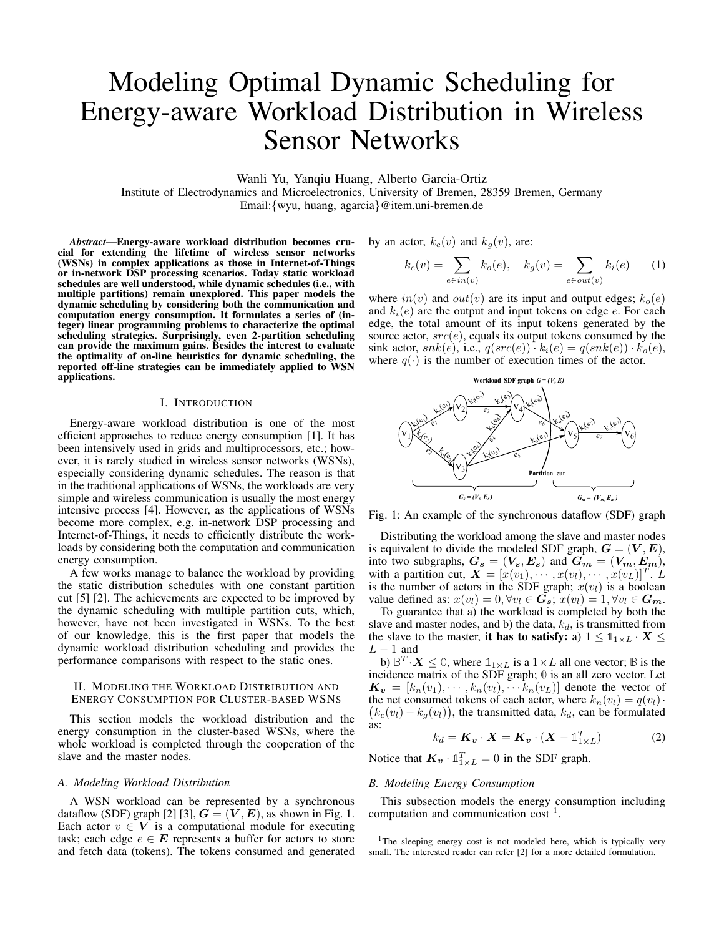# Modeling Optimal Dynamic Scheduling for Energy-aware Workload Distribution in Wireless Sensor Networks

Wanli Yu, Yanqiu Huang, Alberto Garcia-Ortiz

Institute of Electrodynamics and Microelectronics, University of Bremen, 28359 Bremen, Germany Email:{wyu, huang, agarcia}@item.uni-bremen.de

*Abstract*—Energy-aware workload distribution becomes crucial for extending the lifetime of wireless sensor networks (WSNs) in complex applications as those in Internet-of-Things or in-network DSP processing scenarios. Today static workload schedules are well understood, while dynamic schedules (i.e., with multiple partitions) remain unexplored. This paper models the dynamic scheduling by considering both the communication and computation energy consumption. It formulates a series of (integer) linear programming problems to characterize the optimal scheduling strategies. Surprisingly, even 2-partition scheduling can provide the maximum gains. Besides the interest to evaluate the optimality of on-line heuristics for dynamic scheduling, the reported off-line strategies can be immediately applied to WSN applications.

# I. INTRODUCTION

Energy-aware workload distribution is one of the most efficient approaches to reduce energy consumption [1]. It has been intensively used in grids and multiprocessors, etc.; however, it is rarely studied in wireless sensor networks (WSNs), especially considering dynamic schedules. The reason is that in the traditional applications of WSNs, the workloads are very simple and wireless communication is usually the most energy intensive process [4]. However, as the applications of WSNs become more complex, e.g. in-network DSP processing and Internet-of-Things, it needs to efficiently distribute the workloads by considering both the computation and communication energy consumption.

A few works manage to balance the workload by providing the static distribution schedules with one constant partition cut [5] [2]. The achievements are expected to be improved by the dynamic scheduling with multiple partition cuts, which, however, have not been investigated in WSNs. To the best of our knowledge, this is the first paper that models the dynamic workload distribution scheduling and provides the performance comparisons with respect to the static ones.

#### II. MODELING THE WORKLOAD DISTRIBUTION AND ENERGY CONSUMPTION FOR CLUSTER-BASED WSNS

This section models the workload distribution and the energy consumption in the cluster-based WSNs, where the whole workload is completed through the cooperation of the slave and the master nodes.

#### *A. Modeling Workload Distribution*

A WSN workload can be represented by a synchronous dataflow (SDF) graph [2] [3],  $G = (V, E)$ , as shown in Fig. 1. Each actor  $v \in V$  is a computational module for executing task; each edge  $e \in E$  represents a buffer for actors to store and fetch data (tokens). The tokens consumed and generated by an actor,  $k_c(v)$  and  $k_a(v)$ , are:

$$
k_c(v) = \sum_{e \in in(v)} k_o(e), \quad k_g(v) = \sum_{e \in out(v)} k_i(e) \tag{1}
$$

where  $in(v)$  and  $out(v)$  are its input and output edges;  $k_o(e)$ and  $k_i(e)$  are the output and input tokens on edge e. For each edge, the total amount of its input tokens generated by the source actor,  $src(e)$ , equals its output tokens consumed by the sink actor,  $snk(e)$ , i.e.,  $q(src(e)) \cdot k_i(e) = q(snk(e)) \cdot k_o(e)$ , where  $q(\cdot)$  is the number of execution times of the actor.



Fig. 1: An example of the synchronous dataflow (SDF) graph

Distributing the workload among the slave and master nodes is equivalent to divide the modeled SDF graph,  $G = (V, E)$ , into two subgraphs,  $G_s = (V_s, E_s)$  and  $G_m = (V_m, E_m)$ , with a partition cut,  $\mathbf{X} = [x(v_1), \cdots, x(v_l), \cdots, x(v_L)]^T$ . L is the number of actors in the SDF graph;  $x(v_l)$  is a boolean value defined as:  $x(v_l) = 0, \forall v_l \in G_s$ ;  $x(v_l) = 1, \forall v_l \in G_m$ .

To guarantee that a) the workload is completed by both the slave and master nodes, and b) the data,  $k_d$ , is transmitted from the slave to the master, it has to satisfy: a)  $1 \leq \mathbb{1}_{1 \times L} \cdot X \leq$  $L - 1$  and

b)  $\mathbb{B}^T \cdot X \leq 0$ , where  $\mathbb{1}_{1 \times L}$  is a  $1 \times L$  all one vector;  $\mathbb B$  is the incidence matrix of the SDF graph; **0** is an all zero vector. Let  $\mathbf{K}_{\mathbf{v}} = [k_n(v_1), \cdots, k_n(v_l), \cdots k_n(v_L)]$  denote the vector of the net consumed tokens of each actor, where  $k_n(v_l) = q(v_l)$ .  $k_c(v_l) - k_g(v_l)$ , the transmitted data,  $k_d$ , can be formulated as:

$$
k_d = \boldsymbol{K_v} \cdot \boldsymbol{X} = \boldsymbol{K_v} \cdot (\boldsymbol{X} - \mathbb{1}_{1 \times L}^T) \tag{2}
$$

Notice that  $K_v \cdot \mathbb{1}_{1 \times L}^T = 0$  in the SDF graph.

## *B. Modeling Energy Consumption*

This subsection models the energy consumption including computation and communication cost  $1$ .

<sup>1</sup>The sleeping energy cost is not modeled here, which is typically very small. The interested reader can refer [2] for a more detailed formulation.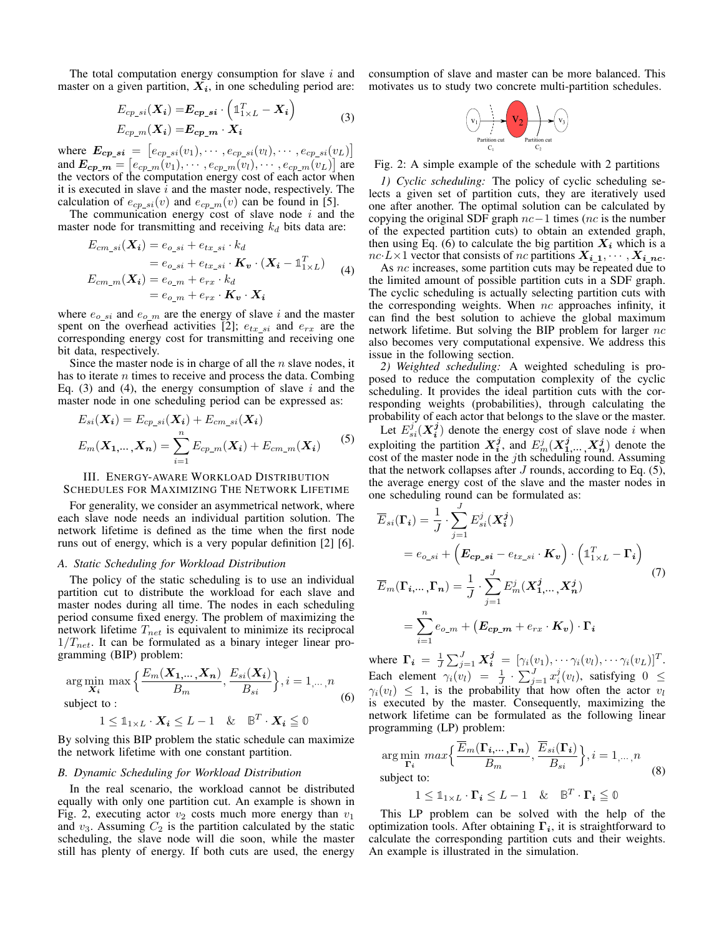The total computation energy consumption for slave  $i$  and master on a given partition,  $X_i$ , in one scheduling period are:

$$
E_{cp\_si}(X_i) = E_{cp\_si} \cdot \left(\mathbb{1}_{1 \times L}^T - X_i\right)
$$
  
\n
$$
E_{cp\_m}(X_i) = E_{cp\_m} \cdot X_i
$$
 (3)

where  $E_{cp\_si} = [e_{cp\_si}(v_1), \cdots, e_{cp\_si}(v_l), \cdots, e_{cp\_si}(v_L)]$ and  $E_{cp\_m} = [e_{cp\_m}(v_1), \cdots, e_{cp\_m}(v_l), \cdots, e_{cp\_m}(v_L)]$  are the vectors of the computation energy cost of each actor when it is executed in slave  $i$  and the master node, respectively. The calculation of  $e_{cp\_si}(v)$  and  $e_{cp\_m}(v)$  can be found in [5].

The communication energy cost of slave node  $i$  and the master node for transmitting and receiving  $k_d$  bits data are:

$$
E_{cm\_si}(\mathbf{X_i}) = e_{o\_si} + e_{tx\_si} \cdot k_d
$$
  
=  $e_{o\_si} + e_{tx\_si} \cdot \mathbf{K_v} \cdot (\mathbf{X_i} - \mathbb{1}_{1 \times L}^T)$   

$$
E_{cm\_m}(\mathbf{X_i}) = e_{o\_m} + e_{rx} \cdot k_d
$$
  
=  $e_{o\_m} + e_{rx} \cdot \mathbf{K_v} \cdot \mathbf{X_i}$  (4)

where  $e_{o\_si}$  and  $e_{o\_m}$  are the energy of slave i and the master spent on the overhead activities [2];  $e_{tx\_si}$  and  $e_{rx}$  are the corresponding energy cost for transmitting and receiving one bit data, respectively.

Since the master node is in charge of all the  $n$  slave nodes, it has to iterate  $n$  times to receive and process the data. Combing Eq. (3) and (4), the energy consumption of slave  $i$  and the master node in one scheduling period can be expressed as:

$$
E_{si}(\mathbf{X_i}) = E_{cp\_si}(\mathbf{X_i}) + E_{cm\_si}(\mathbf{X_i})
$$
  

$$
E_m(\mathbf{X_{1,\dots, X_n}}) = \sum_{i=1}^{n} E_{cp\_m}(\mathbf{X_i}) + E_{cm\_m}(\mathbf{X_i})
$$
 (5)

# III. ENERGY-AWARE WORKLOAD DISTRIBUTION

SCHEDULES FOR MAXIMIZING THE NETWORK LIFETIME

For generality, we consider an asymmetrical network, where each slave node needs an individual partition solution. The network lifetime is defined as the time when the first node runs out of energy, which is a very popular definition [2] [6].

#### *A. Static Scheduling for Workload Distribution*

The policy of the static scheduling is to use an individual partition cut to distribute the workload for each slave and master nodes during all time. The nodes in each scheduling period consume fixed energy. The problem of maximizing the network lifetime  $T_{net}$  is equivalent to minimize its reciprocal  $1/T_{net}$ . It can be formulated as a binary integer linear programming (BIP) problem:

$$
\arg\min_{\mathbf{X}_i} \max \left\{ \frac{E_m(\mathbf{X}_1, \dots, \mathbf{X}_n)}{B_m}, \frac{E_{si}(\mathbf{X}_i)}{B_{si}} \right\}, i = 1, \dots, n
$$
\nsubject to : (6)

$$
1 \leq \mathbb{1}_{1 \times L} \cdot \boldsymbol{X_i} \leq L - 1 \quad \& \quad \mathbb{B}^T \cdot \boldsymbol{X_i} \leq 0
$$

By solving this BIP problem the static schedule can maximize the network lifetime with one constant partition.

#### *B. Dynamic Scheduling for Workload Distribution*

In the real scenario, the workload cannot be distributed equally with only one partition cut. An example is shown in Fig. 2, executing actor  $v_2$  costs much more energy than  $v_1$ and  $v_3$ . Assuming  $C_2$  is the partition calculated by the static scheduling, the slave node will die soon, while the master still has plenty of energy. If both cuts are used, the energy consumption of slave and master can be more balanced. This motivates us to study two concrete multi-partition schedules.



Fig. 2: A simple example of the schedule with 2 partitions

*1) Cyclic scheduling:* The policy of cyclic scheduling selects a given set of partition cuts, they are iteratively used one after another. The optimal solution can be calculated by copying the original SDF graph  $nc-1$  times (nc is the number of the expected partition cuts) to obtain an extended graph, then using Eq. (6) to calculate the big partition  $X_i$  which is a  $nc \, L \times 1$  vector that consists of nc partitions  $X_{i\_1}, \cdots, X_{i\_{nc}}$ .

As nc increases, some partition cuts may be repeated due to the limited amount of possible partition cuts in a SDF graph. The cyclic scheduling is actually selecting partition cuts with the corresponding weights. When  $nc$  approaches infinity, it can find the best solution to achieve the global maximum network lifetime. But solving the BIP problem for larger  $nc$ also becomes very computational expensive. We address this issue in the following section.

*2) Weighted scheduling:* A weighted scheduling is proposed to reduce the computation complexity of the cyclic scheduling. It provides the ideal partition cuts with the corresponding weights (probabilities), through calculating the probability of each actor that belongs to the slave or the master.

Let  $E_{si}^{j}(\boldsymbol{X}_{i}^{j})$  denote the energy cost of slave node i when exploiting the partition  $X_i^j$ , and  $E_m^j(X_1^j, ..., X_n^j)$  denote the cost of the master node in the  $j$ th scheduling round. Assuming that the network collapses after  $J$  rounds, according to Eq. (5), the average energy cost of the slave and the master nodes in one scheduling round can be formulated as:

$$
\overline{E}_{si}(\Gamma_i) = \frac{1}{J} \cdot \sum_{j=1}^{J} E_{si}^j(X_i^j)
$$
\n
$$
= e_{o\_si} + \left( E_{cp\_si} - e_{tx\_si} \cdot K_v \right) \cdot \left( \mathbb{1}_{1 \times L}^T - \Gamma_i \right)
$$
\n
$$
\overline{E}_m(\Gamma_{i, \dots, \Gamma_n}) = \frac{1}{J} \cdot \sum_{j=1}^{J} E_m^j(X_{1, \dots, \Gamma_n^j)
$$
\n
$$
= \sum_{i=1}^{n} e_{o\_m} + \left( E_{cp\_m} + e_{rx} \cdot K_v \right) \cdot \Gamma_i
$$
\n(7)

where  $\mathbf{\Gamma}_{i} = \frac{1}{J} \sum_{j=1}^{J} \mathbf{X}_{i}^{j} = [\gamma_{i}(v_{1}), \cdots \gamma_{i}(v_{l}), \cdots \gamma_{i}(v_{L})]^{T}$ . Each element  $\gamma_i(v_l) = \frac{1}{J} \cdot \sum_{j=1}^J x_i^j(v_l)$ , satisfying  $0 \leq$  $\gamma_i(v_l) \leq 1$ , is the probability that how often the actor  $v_l$ is executed by the master. Consequently, maximizing the network lifetime can be formulated as the following linear programming (LP) problem:

$$
\arg\min_{\mathbf{\Gamma}_i} \max \left\{ \frac{\overline{E}_m(\mathbf{\Gamma}_i, \dots, \mathbf{\Gamma}_n)}{B_m}, \frac{\overline{E}_{si}(\mathbf{\Gamma}_i)}{B_{si}} \right\}, i = 1, \dots, n
$$
\n
$$
\text{subject to:}
$$
\n
$$
1 \leq \mathbb{1}_{1 \times L} \cdot \mathbf{\Gamma}_i \leq L - 1 \quad \& \quad \mathbb{B}^T \cdot \mathbf{\Gamma}_i \leq 0
$$
\n
$$
(8)
$$

This LP problem can be solved with the help of the optimization tools. After obtaining  $\Gamma_i$ , it is straightforward to calculate the corresponding partition cuts and their weights. An example is illustrated in the simulation.